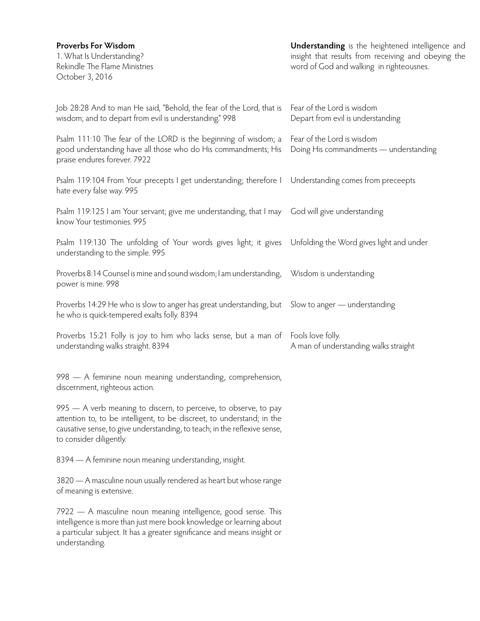| Proverbs For Wisdom<br>1. What Is Understanding?<br>Rekindle The Flame Ministries<br>October 3, 2016                                                                                                                                               | <b>Understanding</b> is the heightened intelligence and<br>insight that results from receiving and obeying the<br>word of God and walking in righteousnes. |
|----------------------------------------------------------------------------------------------------------------------------------------------------------------------------------------------------------------------------------------------------|------------------------------------------------------------------------------------------------------------------------------------------------------------|
| Job 28:28 And to man He said, "Behold, the fear of the Lord, that is<br>wisdom; and to depart from evil is understanding." 998                                                                                                                     | Fear of the Lord is wisdom<br>Depart from evil is understanding                                                                                            |
| Psalm 111:10 The fear of the LORD is the beginning of wisdom; a<br>good understanding have all those who do His commandments; His<br>praise endures forever. 7922                                                                                  | Fear of the Lord is wisdom<br>Doing His commandments — understanding                                                                                       |
| Psalm 119:104 From Your precepts I get understanding; therefore I Understanding comes from preceepts<br>hate every false way. 995                                                                                                                  |                                                                                                                                                            |
| Psalm 119:125 I am Your servant; give me understanding, that I may God will give understanding<br>know Your testimonies. 995                                                                                                                       |                                                                                                                                                            |
| Psalm 119:130 The unfolding of Your words gives light; it gives Unfolding the Word gives light and under<br>understanding to the simple. 995                                                                                                       |                                                                                                                                                            |
| Proverbs 8:14 Counsel is mine and sound wisdom; I am understanding, Wisdom is understanding<br>power is mine. 998                                                                                                                                  |                                                                                                                                                            |
| Proverbs 14:29 He who is slow to anger has great understanding, but Slow to anger — understanding<br>he who is quick-tempered exalts folly. 8394                                                                                                   |                                                                                                                                                            |
| Proverbs 15:21 Folly is joy to him who lacks sense, but a man of Fools love folly.<br>understanding walks straight. 8394                                                                                                                           | A man of understanding walks straight                                                                                                                      |
| 998 - A feminine noun meaning understanding, comprehension,<br>discernment, righteous action.                                                                                                                                                      |                                                                                                                                                            |
| 995 - A verb meaning to discern, to perceive, to observe, to pay<br>attention to, to be intelligent, to be discreet, to understand; in the<br>causative sense, to give understanding, to teach; in the reflexive sense,<br>to consider diligently. |                                                                                                                                                            |
| 8394 - A feminine noun meaning understanding, insight.                                                                                                                                                                                             |                                                                                                                                                            |
| 3820 - A masculine noun usually rendered as heart but whose range<br>of meaning is extensive.                                                                                                                                                      |                                                                                                                                                            |
| 7922 - A masculine noun meaning intelligence, good sense. This<br>intelligence is more than just mere book knowledge or learning about<br>a particular subject. It has a greater significance and means insight or<br>understanding.               |                                                                                                                                                            |
|                                                                                                                                                                                                                                                    |                                                                                                                                                            |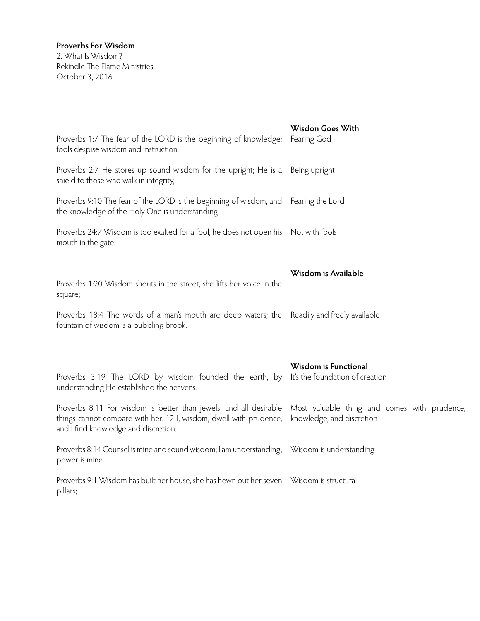## **Proverbs For Wisdom**

2. What Is Wisdom? Rekindle The Flame Ministries October 3, 2016

| Proverbs 1:7 The fear of the LORD is the beginning of knowledge;<br>fools despise wisdom and instruction.                                                                       | Wisdon Goes With<br>Fearing God                                           |
|---------------------------------------------------------------------------------------------------------------------------------------------------------------------------------|---------------------------------------------------------------------------|
| Proverbs 2:7 He stores up sound wisdom for the upright; He is a<br>shield to those who walk in integrity,                                                                       | Being upright                                                             |
| Proverbs 9:10 The fear of the LORD is the beginning of wisdom, and Fearing the Lord<br>the knowledge of the Holy One is understanding.                                          |                                                                           |
| Proverbs 24:7 Wisdom is too exalted for a fool, he does not open his Not with fools<br>mouth in the gate.                                                                       |                                                                           |
| Proverbs 1:20 Wisdom shouts in the street, she lifts her voice in the<br>square;                                                                                                | Wisdom is Available                                                       |
| Proverbs 18:4 The words of a man's mouth are deep waters; the Readily and freely available<br>fountain of wisdom is a bubbling brook.                                           |                                                                           |
| Proverbs 3:19 The LORD by wisdom founded the earth, by<br>understanding He established the heavens.                                                                             | Wisdom is Functional<br>It's the foundation of creation                   |
| Proverbs 8:11 For wisdom is better than jewels; and all desirable<br>things cannot compare with her. 12 I, wisdom, dwell with prudence,<br>and I find knowledge and discretion. | Most valuable thing and comes with prudence,<br>knowledge, and discretion |
| Proverbs 8:14 Counsel is mine and sound wisdom; I am understanding, Wisdom is understanding<br>power is mine.                                                                   |                                                                           |
| Proverbs 9:1 Wisdom has built her house, she has hewn out her seven Wisdom is structural<br>pillars;                                                                            |                                                                           |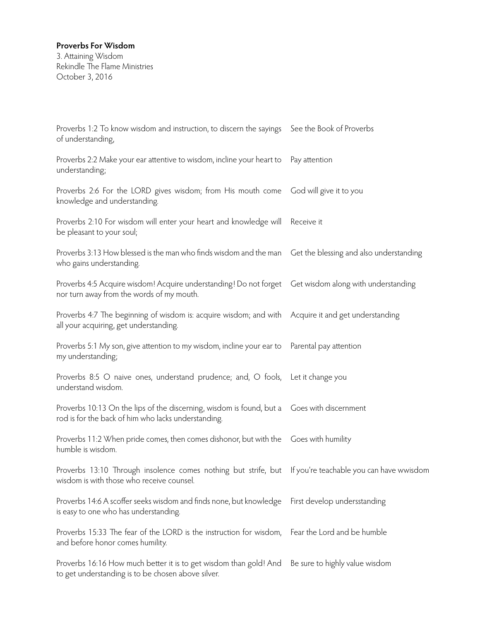## **Proverbs For Wisdom**

3. Attaining Wisdom Rekindle The Flame Ministries October 3, 2016

| Proverbs 1:2 To know wisdom and instruction, to discern the sayings See the Book of Proverbs<br>of understanding,                                    |                                         |
|------------------------------------------------------------------------------------------------------------------------------------------------------|-----------------------------------------|
| Proverbs 2:2 Make your ear attentive to wisdom, incline your heart to<br>understanding;                                                              | Pay attention                           |
| Proverbs 2:6 For the LORD gives wisdom; from His mouth come<br>knowledge and understanding.                                                          | God will give it to you                 |
| Proverbs 2:10 For wisdom will enter your heart and knowledge will<br>be pleasant to your soul;                                                       | Receive it                              |
| Proverbs 3:13 How blessed is the man who finds wisdom and the man<br>who gains understanding.                                                        | Get the blessing and also understanding |
| Proverbs 4:5 Acquire wisdom! Acquire understanding! Do not forget Get wisdom along with understanding<br>nor turn away from the words of my mouth.   |                                         |
| Proverbs 4:7 The beginning of wisdom is: acquire wisdom; and with Acquire it and get understanding<br>all your acquiring, get understanding.         |                                         |
| Proverbs 5:1 My son, give attention to my wisdom, incline your ear to<br>my understanding;                                                           | Parental pay attention                  |
| Proverbs 8:5 O naive ones, understand prudence; and, O fools, Let it change you<br>understand wisdom.                                                |                                         |
| Proverbs 10:13 On the lips of the discerning, wisdom is found, but a Goes with discernment<br>rod is for the back of him who lacks understanding.    |                                         |
| Proverbs 11:2 When pride comes, then comes dishonor, but with the Goes with humility<br>humble is wisdom.                                            |                                         |
| Proverbs 13:10 Through insolence comes nothing but strife, but If you're teachable you can have wwisdom<br>wisdom is with those who receive counsel. |                                         |
| Proverbs 14:6 A scoffer seeks wisdom and finds none, but knowledge<br>is easy to one who has understanding.                                          | First develop undersstanding            |
| Proverbs 15:33 The fear of the LORD is the instruction for wisdom, Fear the Lord and be humble<br>and before honor comes humility.                   |                                         |
| Proverbs 16:16 How much better it is to get wisdom than gold! And<br>to get understanding is to be chosen above silver.                              | Be sure to highly value wisdom          |
|                                                                                                                                                      |                                         |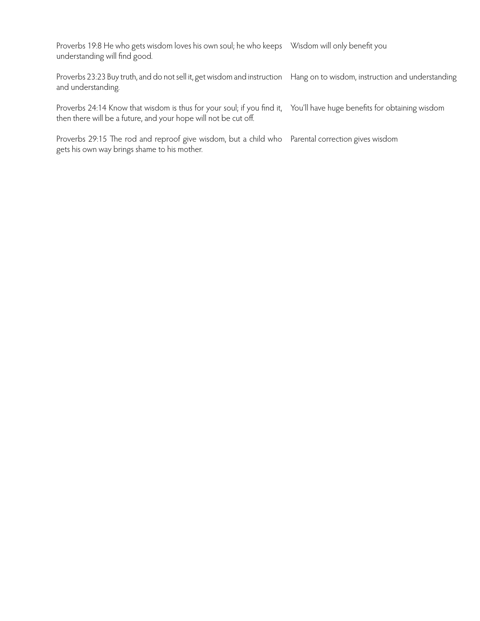Proverbs 19:8 He who gets wisdom loves his own soul; he who keeps Wisdom will only benefit you understanding will find good.

Proverbs 23:23 Buy truth, and do not sell it, get wisdom and instruction Hang on to wisdom, instruction and understanding and understanding.

Proverbs 24:14 Know that wisdom is thus for your soul; if you find it, You'll have huge benefits for obtaining wisdom then there will be a future, and your hope will not be cut off.

Proverbs 29:15 The rod and reproof give wisdom, but a child who Parental correction gives wisdomgets his own way brings shame to his mother.